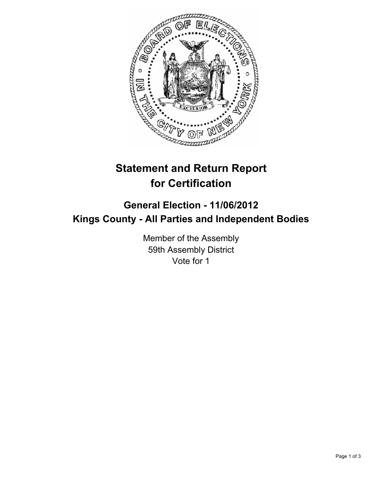

## **Statement and Return Report for Certification**

## **General Election - 11/06/2012 Kings County - All Parties and Independent Bodies**

Member of the Assembly 59th Assembly District Vote for 1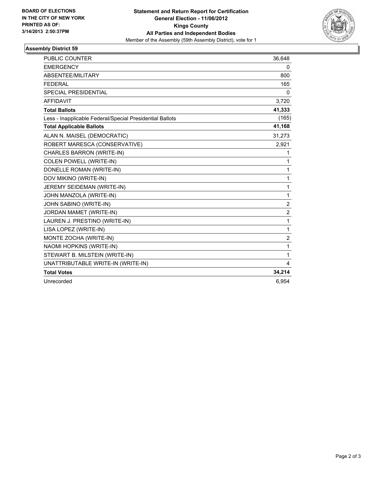

## **Assembly District 59**

| <b>PUBLIC COUNTER</b>                                    | 36,648           |
|----------------------------------------------------------|------------------|
| <b>EMERGENCY</b>                                         | 0                |
| ABSENTEE/MILITARY                                        | 800              |
| <b>FEDERAL</b>                                           | 165              |
| SPECIAL PRESIDENTIAL                                     | 0                |
| <b>AFFIDAVIT</b>                                         | 3,720            |
| <b>Total Ballots</b>                                     | 41,333           |
| Less - Inapplicable Federal/Special Presidential Ballots | (165)            |
| <b>Total Applicable Ballots</b>                          | 41,168           |
| ALAN N. MAISEL (DEMOCRATIC)                              | 31,273           |
| ROBERT MARESCA (CONSERVATIVE)                            | 2,921            |
| CHARLES BARRON (WRITE-IN)                                | 1                |
| COLEN POWELL (WRITE-IN)                                  | 1                |
| DONELLE ROMAN (WRITE-IN)                                 | $\mathbf{1}$     |
| DOV MIKINO (WRITE-IN)                                    | $\mathbf{1}$     |
| JEREMY SEIDEMAN (WRITE-IN)                               | $\mathbf{1}$     |
| JOHN MANZOLA (WRITE-IN)                                  | $\mathbf{1}$     |
| JOHN SABINO (WRITE-IN)                                   | $\boldsymbol{2}$ |
| JORDAN MAMET (WRITE-IN)                                  | $\overline{2}$   |
| LAUREN J. PRESTINO (WRITE-IN)                            | $\mathbf{1}$     |
| LISA LOPEZ (WRITE-IN)                                    | 1                |
| MONTE ZOCHA (WRITE-IN)                                   | $\overline{2}$   |
| NAOMI HOPKINS (WRITE-IN)                                 | 1                |
| STEWART B. MILSTEIN (WRITE-IN)                           | 1                |
| UNATTRIBUTABLE WRITE-IN (WRITE-IN)                       | 4                |
| <b>Total Votes</b>                                       | 34,214           |
| Unrecorded                                               | 6,954            |